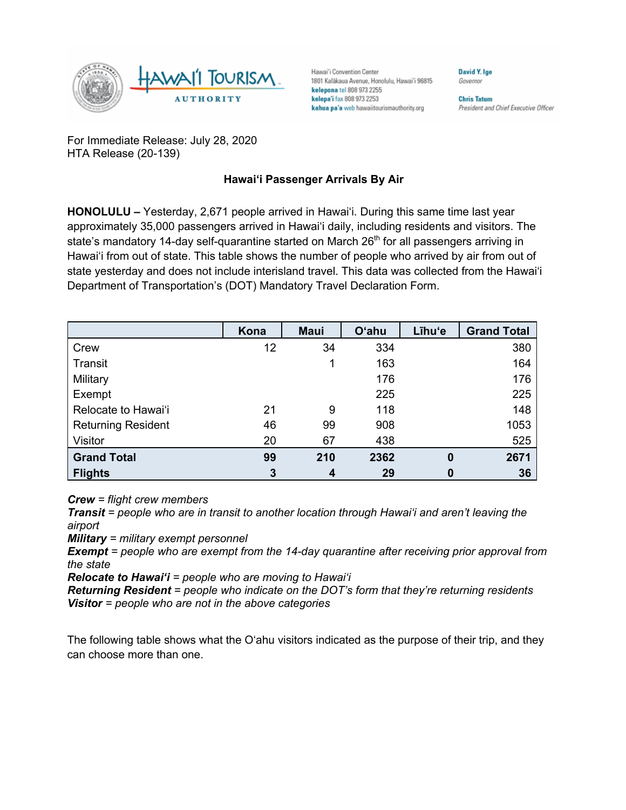

Hawai'i Convention Center 1801 Kalākaua Avenue, Honolulu, Hawai'i 96815 kelepona tel 808 973 2255 kelepa'i fax 808 973 2253 kahua pa'a web hawaiitourismauthority.org

Governor **Chris Tatum** 

David Y. Ige

President and Chief Executive Officer

For Immediate Release: July 28, 2020 HTA Release (20-139)

## **Hawai'i Passenger Arrivals By Air**

**HONOLULU –** Yesterday, 2,671 people arrived in Hawai'i. During this same time last year approximately 35,000 passengers arrived in Hawai'i daily, including residents and visitors. The state's mandatory 14-day self-quarantine started on March  $26<sup>th</sup>$  for all passengers arriving in Hawai'i from out of state. This table shows the number of people who arrived by air from out of state yesterday and does not include interisland travel. This data was collected from the Hawai'i Department of Transportation's (DOT) Mandatory Travel Declaration Form.

|                           | Kona | <b>Maui</b> | <b>O'ahu</b> | Līhu'e   | <b>Grand Total</b> |
|---------------------------|------|-------------|--------------|----------|--------------------|
| Crew                      | 12   | 34          | 334          |          | 380                |
| Transit                   |      |             | 163          |          | 164                |
| Military                  |      |             | 176          |          | 176                |
| Exempt                    |      |             | 225          |          | 225                |
| Relocate to Hawai'i       | 21   | 9           | 118          |          | 148                |
| <b>Returning Resident</b> | 46   | 99          | 908          |          | 1053               |
| Visitor                   | 20   | 67          | 438          |          | 525                |
| <b>Grand Total</b>        | 99   | 210         | 2362         | $\bf{0}$ | 2671               |
| <b>Flights</b>            | 3    | 4           | 29           | 0        | 36                 |

*Crew = flight crew members*

*Transit = people who are in transit to another location through Hawai'i and aren't leaving the airport*

*Military = military exempt personnel*

*Exempt = people who are exempt from the 14-day quarantine after receiving prior approval from the state*

*Relocate to Hawai'i = people who are moving to Hawai'i*

*Returning Resident = people who indicate on the DOT's form that they're returning residents Visitor = people who are not in the above categories*

The following table shows what the O'ahu visitors indicated as the purpose of their trip, and they can choose more than one.